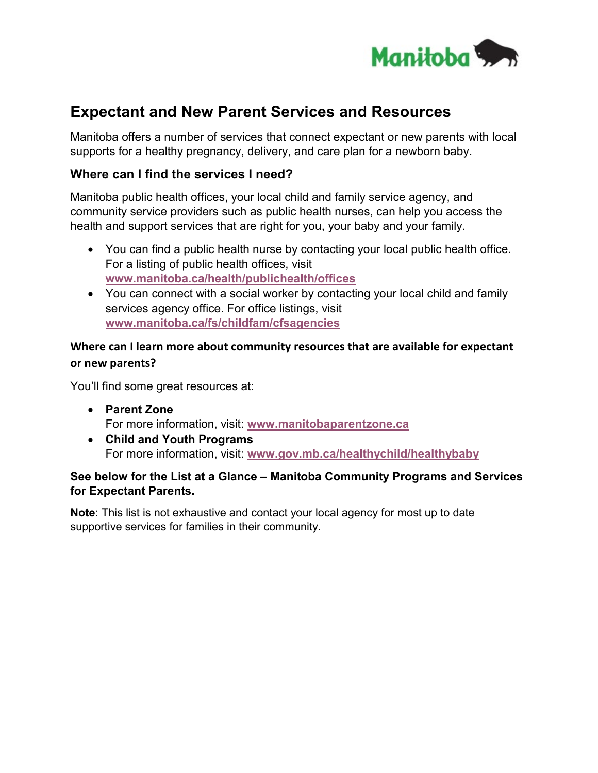

# **Expectant and New Parent Services and Resources**

Manitoba offers a number of services that connect expectant or new parents with local supports for a healthy pregnancy, delivery, and care plan for a newborn baby.

#### **Where can I find the services I need?**

Manitoba public health offices, your local child and family service agency, and community service providers such as public health nurses, can help you access the health and support services that are right for you, your baby and your family.

- You can find a public health nurse by contacting your local public health office. For a listing of public health offices, visit **[www.manitoba.ca/health/publichealth/offices](http://www.manitoba.ca/health/publichealth/offices)**
- You can connect with a social worker by contacting your local child and family services agency office. For office listings, visit **[www.manitoba.ca/fs/childfam/cfsagencies](http://www.manitoba.ca/fs/childfam/cfsagencies.html)**

#### **Where can I learn more about community resources that are available for expectant or new parents?**

You'll find some great resources at:

- **Parent Zone** For more information, visit: **[www.manitobaparentzone.ca](http://www.manitobaparentzone.ca/index.html)**
- **Child and Youth Programs** For more information, visit: **[www.gov.mb.ca/healthychild/healthybaby](http://www.gov.mb.ca/healthychild/healthybaby)**

#### **[See below for the List at a Glance –](#page-1-0) Manitoba Community Programs and Services for Expectant Parents.**

**Note**: This list is not exhaustive and contact your local agency for most up to date supportive services for families in their community.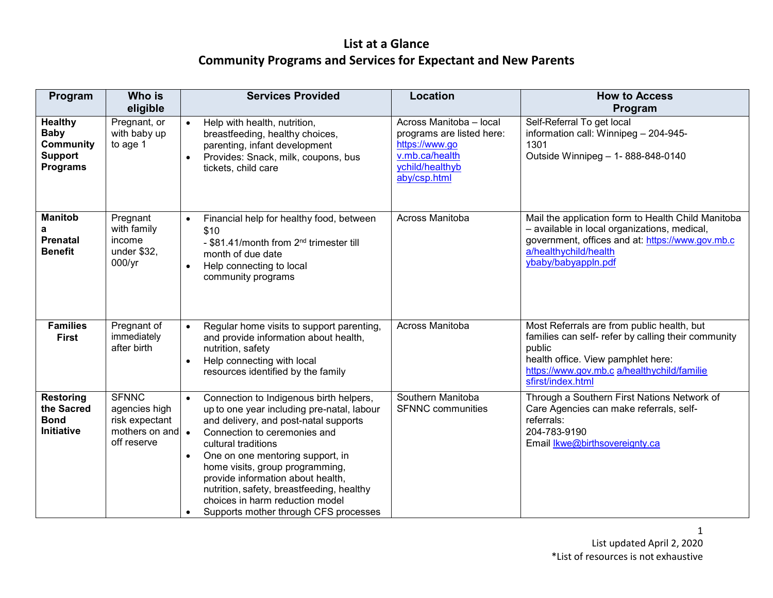<span id="page-1-0"></span>

| Program                                                                                | Who is<br>eligible                                                                 | <b>Services Provided</b>                                                                                                                                                                                                                                                                                                                                                                                                                | Location                                                                                                                    | <b>How to Access</b><br>Program                                                                                                                                                                                       |
|----------------------------------------------------------------------------------------|------------------------------------------------------------------------------------|-----------------------------------------------------------------------------------------------------------------------------------------------------------------------------------------------------------------------------------------------------------------------------------------------------------------------------------------------------------------------------------------------------------------------------------------|-----------------------------------------------------------------------------------------------------------------------------|-----------------------------------------------------------------------------------------------------------------------------------------------------------------------------------------------------------------------|
| <b>Healthy</b><br><b>Baby</b><br><b>Community</b><br><b>Support</b><br><b>Programs</b> | Pregnant, or<br>with baby up<br>to age 1                                           | Help with health, nutrition,<br>$\bullet$<br>breastfeeding, healthy choices,<br>parenting, infant development<br>Provides: Snack, milk, coupons, bus<br>tickets, child care                                                                                                                                                                                                                                                             | Across Manitoba - local<br>programs are listed here:<br>https://www.go<br>v.mb.ca/health<br>ychild/healthyb<br>aby/csp.html | Self-Referral To get local<br>information call: Winnipeg - 204-945-<br>1301<br>Outside Winnipeg - 1-888-848-0140                                                                                                      |
| <b>Manitob</b><br><b>Prenatal</b><br><b>Benefit</b>                                    | Pregnant<br>with family<br>income<br>under \$32.<br>$000/\gamma r$                 | Financial help for healthy food, between<br>\$10<br>- \$81.41/month from 2 <sup>nd</sup> trimester till<br>month of due date<br>Help connecting to local<br>community programs                                                                                                                                                                                                                                                          | Across Manitoba                                                                                                             | Mail the application form to Health Child Manitoba<br>- available in local organizations, medical,<br>government, offices and at: https://www.gov.mb.c<br>a/healthychild/health<br>ybaby/babyappln.pdf                |
| <b>Families</b><br><b>First</b>                                                        | Pregnant of<br>immediately<br>after birth                                          | Regular home visits to support parenting,<br>$\bullet$<br>and provide information about health,<br>nutrition, safety<br>Help connecting with local<br>$\bullet$<br>resources identified by the family                                                                                                                                                                                                                                   | Across Manitoba                                                                                                             | Most Referrals are from public health, but<br>families can self- refer by calling their community<br>public<br>health office. View pamphlet here:<br>https://www.gov.mb.c a/healthychild/familie<br>sfirst/index.html |
| <b>Restoring</b><br>the Sacred<br><b>Bond</b><br><b>Initiative</b>                     | <b>SFNNC</b><br>agencies high<br>risk expectant<br>mothers on and •<br>off reserve | Connection to Indigenous birth helpers,<br>$\bullet$<br>up to one year including pre-natal, labour<br>and delivery, and post-natal supports<br>Connection to ceremonies and<br>cultural traditions<br>One on one mentoring support, in<br>home visits, group programming,<br>provide information about health,<br>nutrition, safety, breastfeeding, healthy<br>choices in harm reduction model<br>Supports mother through CFS processes | Southern Manitoba<br><b>SFNNC</b> communities                                                                               | Through a Southern First Nations Network of<br>Care Agencies can make referrals, self-<br>referrals:<br>204-783-9190<br>Email <b>Ikwe@birthsovereignty.ca</b>                                                         |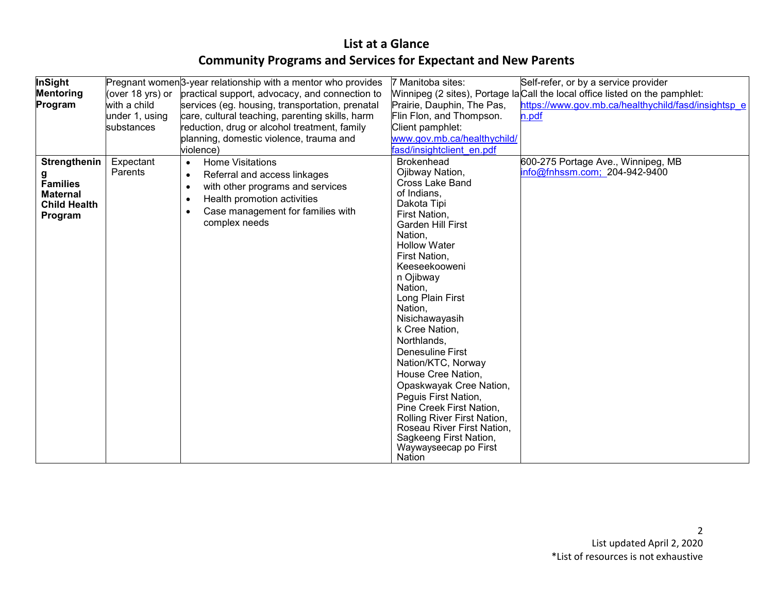| InSight<br><b>Mentoring</b><br>Program                                                    | (over 18 yrs) or<br>with a child<br>under 1, using<br>substances | Pregnant women <sup>3</sup> -year relationship with a mentor who provides<br>practical support, advocacy, and connection to<br>services (eg. housing, transportation, prenatal<br>care, cultural teaching, parenting skills, harm<br>reduction, drug or alcohol treatment, family<br>planning, domestic violence, trauma and<br>violence) | 7 Manitoba sites:<br>Prairie, Dauphin, The Pas,<br>Flin Flon, and Thompson.<br>Client pamphlet:<br>www.gov.mb.ca/healthychild/<br>fasd/insightclient en.pdf                                                                                                                                                                                                                                                                                                                                                                                                                                      | Self-refer, or by a service provider<br>Winnipeg (2 sites), Portage la Call the local office listed on the pamphlet:<br>https://www.gov.mb.ca/healthychild/fasd/insightsp e<br>n.pdf |
|-------------------------------------------------------------------------------------------|------------------------------------------------------------------|-------------------------------------------------------------------------------------------------------------------------------------------------------------------------------------------------------------------------------------------------------------------------------------------------------------------------------------------|--------------------------------------------------------------------------------------------------------------------------------------------------------------------------------------------------------------------------------------------------------------------------------------------------------------------------------------------------------------------------------------------------------------------------------------------------------------------------------------------------------------------------------------------------------------------------------------------------|--------------------------------------------------------------------------------------------------------------------------------------------------------------------------------------|
| Strengthenin<br>g<br><b>Families</b><br><b>Maternal</b><br><b>Child Health</b><br>Program | Expectant<br>Parents                                             | <b>Home Visitations</b><br>$\bullet$<br>Referral and access linkages<br>$\bullet$<br>with other programs and services<br>Health promotion activities<br>Case management for families with<br>complex needs                                                                                                                                | <b>Brokenhead</b><br>Ojibway Nation,<br><b>Cross Lake Band</b><br>of Indians,<br>Dakota Tipi<br>First Nation,<br><b>Garden Hill First</b><br>Nation,<br><b>Hollow Water</b><br>First Nation,<br>Keeseekooweni<br>n Ojibway<br>Nation.<br>Long Plain First<br>Nation,<br>Nisichawayasih<br>k Cree Nation,<br>Northlands,<br>Denesuline First<br>Nation/KTC, Norway<br>House Cree Nation,<br>Opaskwayak Cree Nation,<br>Peguis First Nation,<br>Pine Creek First Nation,<br>Rolling River First Nation,<br>Roseau River First Nation,<br>Sagkeeng First Nation,<br>Waywayseecap po First<br>Nation | 600-275 Portage Ave., Winnipeg, MB<br>info@fnhssm.com; 204-942-9400                                                                                                                  |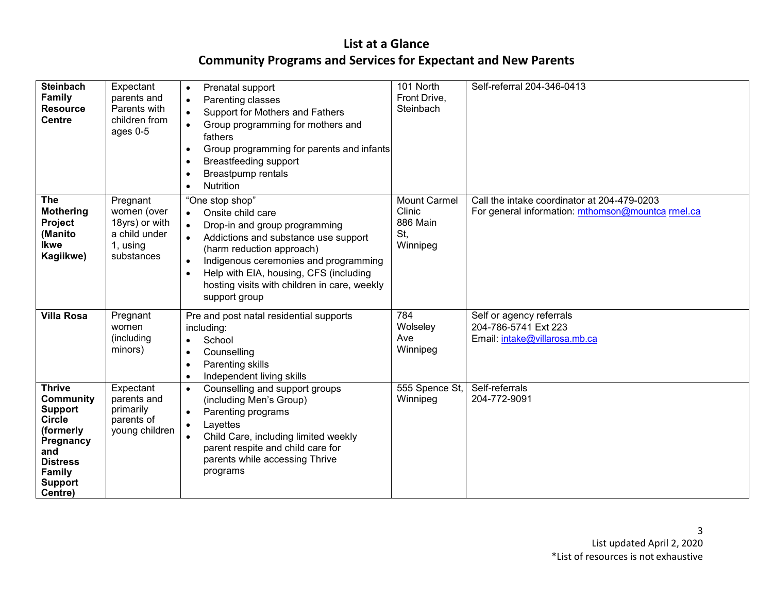| <b>Steinbach</b><br><b>Family</b><br><b>Resource</b><br><b>Centre</b>                                                                                           | Expectant<br>parents and<br>Parents with<br>children from<br>ages $0-5$              | Prenatal support<br>$\bullet$<br>Parenting classes<br>$\bullet$<br>Support for Mothers and Fathers<br>$\bullet$<br>Group programming for mothers and<br>$\bullet$<br>fathers<br>Group programming for parents and infants<br>$\bullet$<br>Breastfeeding support<br><b>Breastpump rentals</b><br><b>Nutrition</b><br>$\bullet$                                   | 101 North<br>Front Drive,<br>Steinbach                       | Self-referral 204-346-0413                                                                       |
|-----------------------------------------------------------------------------------------------------------------------------------------------------------------|--------------------------------------------------------------------------------------|-----------------------------------------------------------------------------------------------------------------------------------------------------------------------------------------------------------------------------------------------------------------------------------------------------------------------------------------------------------------|--------------------------------------------------------------|--------------------------------------------------------------------------------------------------|
| <b>The</b><br><b>Mothering</b><br>Project<br>(Manito<br><b>Ikwe</b><br>Kagiikwe)                                                                                | Pregnant<br>women (over<br>18yrs) or with<br>a child under<br>1, using<br>substances | "One stop shop"<br>Onsite child care<br>$\bullet$<br>Drop-in and group programming<br>$\bullet$<br>Addictions and substance use support<br>$\bullet$<br>(harm reduction approach)<br>Indigenous ceremonies and programming<br>$\bullet$<br>Help with EIA, housing, CFS (including<br>$\bullet$<br>hosting visits with children in care, weekly<br>support group | <b>Mount Carmel</b><br>Clinic<br>886 Main<br>St,<br>Winnipeg | Call the intake coordinator at 204-479-0203<br>For general information: mthomson@mountca rmel.ca |
| <b>Villa Rosa</b>                                                                                                                                               | Pregnant<br>women<br>(including<br>minors)                                           | Pre and post natal residential supports<br>including:<br>School<br>$\bullet$<br>Counselling<br>$\bullet$<br>Parenting skills<br>Independent living skills<br>$\bullet$                                                                                                                                                                                          | 784<br>Wolseley<br>Ave<br>Winnipeg                           | Self or agency referrals<br>204-786-5741 Ext 223<br>Email: intake@villarosa.mb.ca                |
| <b>Thrive</b><br><b>Community</b><br><b>Support</b><br><b>Circle</b><br>(formerly<br>Pregnancy<br>and<br><b>Distress</b><br>Family<br><b>Support</b><br>Centre) | Expectant<br>parents and<br>primarily<br>parents of<br>young children                | Counselling and support groups<br>$\bullet$<br>(including Men's Group)<br>Parenting programs<br>$\bullet$<br>Layettes<br>$\bullet$<br>Child Care, including limited weekly<br>$\bullet$<br>parent respite and child care for<br>parents while accessing Thrive<br>programs                                                                                      | 555 Spence St,<br>Winnipeg                                   | Self-referrals<br>204-772-9091                                                                   |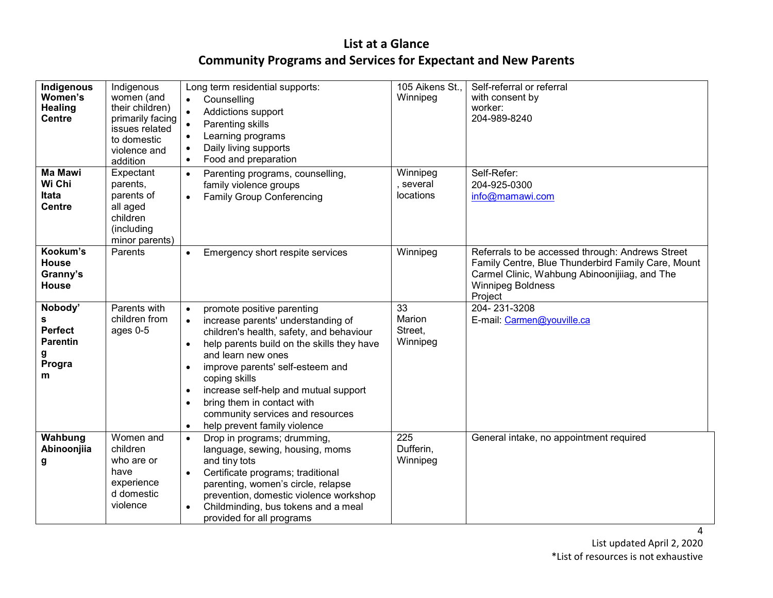| Indigenous<br>Women's<br><b>Healing</b><br><b>Centre</b>              | Indigenous<br>women (and<br>their children)<br>primarily facing<br>issues related<br>to domestic<br>violence and<br>addition | Long term residential supports:<br>Counselling<br>$\bullet$<br>$\bullet$<br>Addictions support<br>Parenting skills<br>Learning programs<br>Daily living supports<br>Food and preparation<br>$\bullet$                                                                                                                                                                                                                                                               | 105 Aikens St.,<br>Winnipeg         | Self-referral or referral<br>with consent by<br>worker:<br>204-989-8240                                                                                                                        |
|-----------------------------------------------------------------------|------------------------------------------------------------------------------------------------------------------------------|---------------------------------------------------------------------------------------------------------------------------------------------------------------------------------------------------------------------------------------------------------------------------------------------------------------------------------------------------------------------------------------------------------------------------------------------------------------------|-------------------------------------|------------------------------------------------------------------------------------------------------------------------------------------------------------------------------------------------|
| <b>Ma Mawi</b><br>Wi Chi<br>Itata<br><b>Centre</b>                    | Expectant<br>parents,<br>parents of<br>all aged<br>children<br>(including<br>minor parents)                                  | Parenting programs, counselling,<br>$\bullet$<br>family violence groups<br><b>Family Group Conferencing</b><br>$\bullet$                                                                                                                                                                                                                                                                                                                                            | Winnipeg<br>several<br>locations    | Self-Refer:<br>204-925-0300<br>info@mamawi.com                                                                                                                                                 |
| Kookum's<br><b>House</b><br>Granny's<br><b>House</b>                  | Parents                                                                                                                      | Emergency short respite services<br>$\bullet$                                                                                                                                                                                                                                                                                                                                                                                                                       | Winnipeg                            | Referrals to be accessed through: Andrews Street<br>Family Centre, Blue Thunderbird Family Care, Mount<br>Carmel Clinic, Wahbung Abinoonijiiag, and The<br><b>Winnipeg Boldness</b><br>Project |
| Nobody'<br>s<br><b>Perfect</b><br><b>Parentin</b><br>g<br>Progra<br>m | Parents with<br>children from<br>ages 0-5                                                                                    | promote positive parenting<br>$\bullet$<br>increase parents' understanding of<br>$\bullet$<br>children's health, safety, and behaviour<br>help parents build on the skills they have<br>$\bullet$<br>and learn new ones<br>improve parents' self-esteem and<br>$\bullet$<br>coping skills<br>increase self-help and mutual support<br>٠<br>bring them in contact with<br>$\bullet$<br>community services and resources<br>help prevent family violence<br>$\bullet$ | 33<br>Marion<br>Street,<br>Winnipeg | 204-231-3208<br>E-mail: Carmen@youville.ca                                                                                                                                                     |
| Wahbung<br>Abinoonjiia<br>g                                           | Women and<br>children<br>who are or<br>have<br>experience<br>d domestic<br>violence                                          | Drop in programs; drumming,<br>$\bullet$<br>language, sewing, housing, moms<br>and tiny tots<br>Certificate programs; traditional<br>parenting, women's circle, relapse<br>prevention, domestic violence workshop<br>Childminding, bus tokens and a meal<br>provided for all programs                                                                                                                                                                               | 225<br>Dufferin,<br>Winnipeg        | General intake, no appointment required                                                                                                                                                        |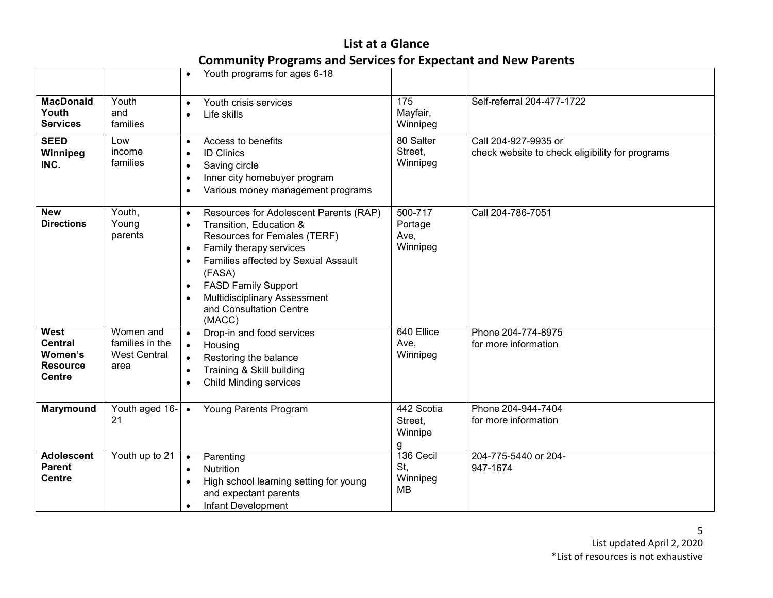|                                                                              |                                                             | Youth programs for ages 6-18<br>$\bullet$                                                                                                                                                                                                                                                                                            |                                        |                                                                         |
|------------------------------------------------------------------------------|-------------------------------------------------------------|--------------------------------------------------------------------------------------------------------------------------------------------------------------------------------------------------------------------------------------------------------------------------------------------------------------------------------------|----------------------------------------|-------------------------------------------------------------------------|
| <b>MacDonald</b><br>Youth<br><b>Services</b>                                 | Youth<br>and<br>families                                    | Youth crisis services<br>Life skills<br>$\bullet$                                                                                                                                                                                                                                                                                    | 175<br>Mayfair,<br>Winnipeg            | Self-referral 204-477-1722                                              |
| <b>SEED</b><br>Winnipeg<br>INC.                                              | Low<br>income<br>families                                   | Access to benefits<br>$\bullet$<br><b>ID Clinics</b><br>$\bullet$<br>Saving circle<br>$\bullet$<br>Inner city homebuyer program<br>$\bullet$<br>Various money management programs                                                                                                                                                    | 80 Salter<br>Street,<br>Winnipeg       | Call 204-927-9935 or<br>check website to check eligibility for programs |
| <b>New</b><br><b>Directions</b>                                              | Youth,<br>Young<br>parents                                  | Resources for Adolescent Parents (RAP)<br>$\bullet$<br>Transition, Education &<br>$\bullet$<br>Resources for Females (TERF)<br>Family therapy services<br>$\bullet$<br>Families affected by Sexual Assault<br>(FASA)<br><b>FASD Family Support</b><br>$\bullet$<br>Multidisciplinary Assessment<br>and Consultation Centre<br>(MACC) | 500-717<br>Portage<br>Ave,<br>Winnipeg | Call 204-786-7051                                                       |
| <b>West</b><br><b>Central</b><br>Women's<br><b>Resource</b><br><b>Centre</b> | Women and<br>families in the<br><b>West Central</b><br>area | Drop-in and food services<br>$\bullet$<br>Housing<br>Restoring the balance<br>$\bullet$<br>Training & Skill building<br><b>Child Minding services</b>                                                                                                                                                                                | 640 Ellice<br>Ave,<br>Winnipeg         | Phone 204-774-8975<br>for more information                              |
| Marymound                                                                    | Youth aged 16-<br>21                                        | Young Parents Program<br>$\bullet$                                                                                                                                                                                                                                                                                                   | 442 Scotia<br>Street,<br>Winnipe<br>a  | Phone 204-944-7404<br>for more information                              |
| <b>Adolescent</b><br><b>Parent</b><br><b>Centre</b>                          | Youth up to 21                                              | Parenting<br>$\bullet$<br><b>Nutrition</b><br>$\bullet$<br>High school learning setting for young<br>$\bullet$<br>and expectant parents<br>Infant Development<br>$\bullet$                                                                                                                                                           | 136 Cecil<br>St,<br>Winnipeg<br>МB     | 204-775-5440 or 204-<br>947-1674                                        |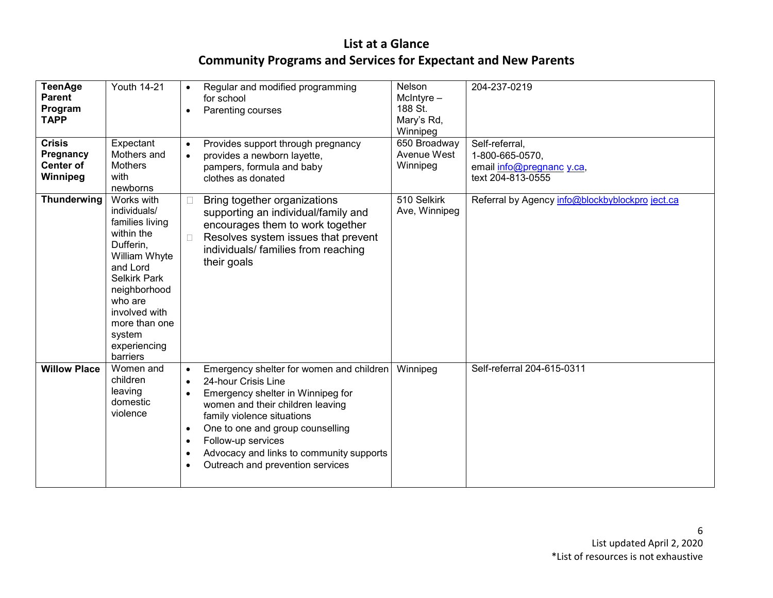| <b>TeenAge</b><br><b>Parent</b><br>Program<br><b>TAPP</b>  | <b>Youth 14-21</b>                                                                                                                                                                                                              | $\bullet$<br>$\bullet$                                | Regular and modified programming<br>for school<br>Parenting courses                                                                                                                                                                                                                                              | Nelson<br>$Mcln$ tyre $-$<br>188 St.<br>Mary's Rd,<br>Winnipeg | 204-237-0219                                                                        |
|------------------------------------------------------------|---------------------------------------------------------------------------------------------------------------------------------------------------------------------------------------------------------------------------------|-------------------------------------------------------|------------------------------------------------------------------------------------------------------------------------------------------------------------------------------------------------------------------------------------------------------------------------------------------------------------------|----------------------------------------------------------------|-------------------------------------------------------------------------------------|
| <b>Crisis</b><br>Pregnancy<br><b>Center of</b><br>Winnipeg | Expectant<br>Mothers and<br><b>Mothers</b><br>with<br>newborns                                                                                                                                                                  | $\bullet$                                             | Provides support through pregnancy<br>provides a newborn layette,<br>pampers, formula and baby<br>clothes as donated                                                                                                                                                                                             | 650 Broadway<br>Avenue West<br>Winnipeg                        | Self-referral,<br>1-800-665-0570,<br>email info@pregnanc y.ca,<br>text 204-813-0555 |
| <b>Thunderwing</b>                                         | Works with<br>individuals/<br>families living<br>within the<br>Dufferin,<br>William Whyte<br>and Lord<br><b>Selkirk Park</b><br>neighborhood<br>who are<br>involved with<br>more than one<br>system<br>experiencing<br>barriers | □                                                     | Bring together organizations<br>supporting an individual/family and<br>encourages them to work together<br>Resolves system issues that prevent<br>individuals/ families from reaching<br>their goals                                                                                                             | 510 Selkirk<br>Ave, Winnipeg                                   | Referral by Agency info@blockbyblockpro ject.ca                                     |
| <b>Willow Place</b>                                        | Women and<br>children<br>leaving<br>domestic<br>violence                                                                                                                                                                        | $\bullet$<br>$\bullet$<br>$\bullet$<br>$\bullet$<br>٠ | Emergency shelter for women and children<br>24-hour Crisis Line<br>Emergency shelter in Winnipeg for<br>women and their children leaving<br>family violence situations<br>One to one and group counselling<br>Follow-up services<br>Advocacy and links to community supports<br>Outreach and prevention services | Winnipeg                                                       | Self-referral 204-615-0311                                                          |